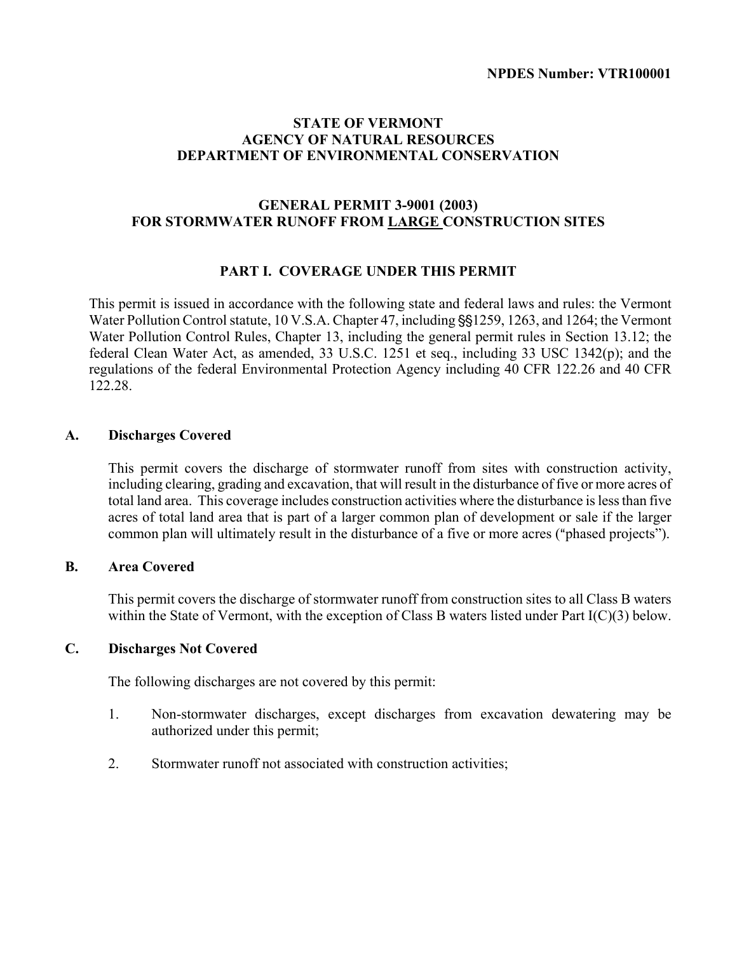# **STATE OF VERMONT AGENCY OF NATURAL RESOURCES DEPARTMENT OF ENVIRONMENTAL CONSERVATION**

# **GENERAL PERMIT 3-9001 (2003) FOR STORMWATER RUNOFF FROM LARGE CONSTRUCTION SITES**

# **PART I. COVERAGE UNDER THIS PERMIT**

This permit is issued in accordance with the following state and federal laws and rules: the Vermont Water Pollution Control statute, 10 V.S.A. Chapter 47, including  $\S$ §1259, 1263, and 1264; the Vermont Water Pollution Control Rules, Chapter 13, including the general permit rules in Section 13.12; the federal Clean Water Act, as amended, 33 U.S.C. 1251 et seq., including 33 USC 1342(p); and the regulations of the federal Environmental Protection Agency including 40 CFR 122.26 and 40 CFR 122.28.

### **A. Discharges Covered**

This permit covers the discharge of stormwater runoff from sites with construction activity, including clearing, grading and excavation, that will result in the disturbance of five or more acres of total land area. This coverage includes construction activities where the disturbance is less than five acres of total land area that is part of a larger common plan of development or sale if the larger common plan will ultimately result in the disturbance of a five or more acres ("phased projects").

### **B. Area Covered**

This permit covers the discharge of stormwater runoff from construction sites to all Class B waters within the State of Vermont, with the exception of Class B waters listed under Part I(C)(3) below.

### **C. Discharges Not Covered**

The following discharges are not covered by this permit:

- 1. Non-stormwater discharges, except discharges from excavation dewatering may be authorized under this permit;
- 2. Stormwater runoff not associated with construction activities;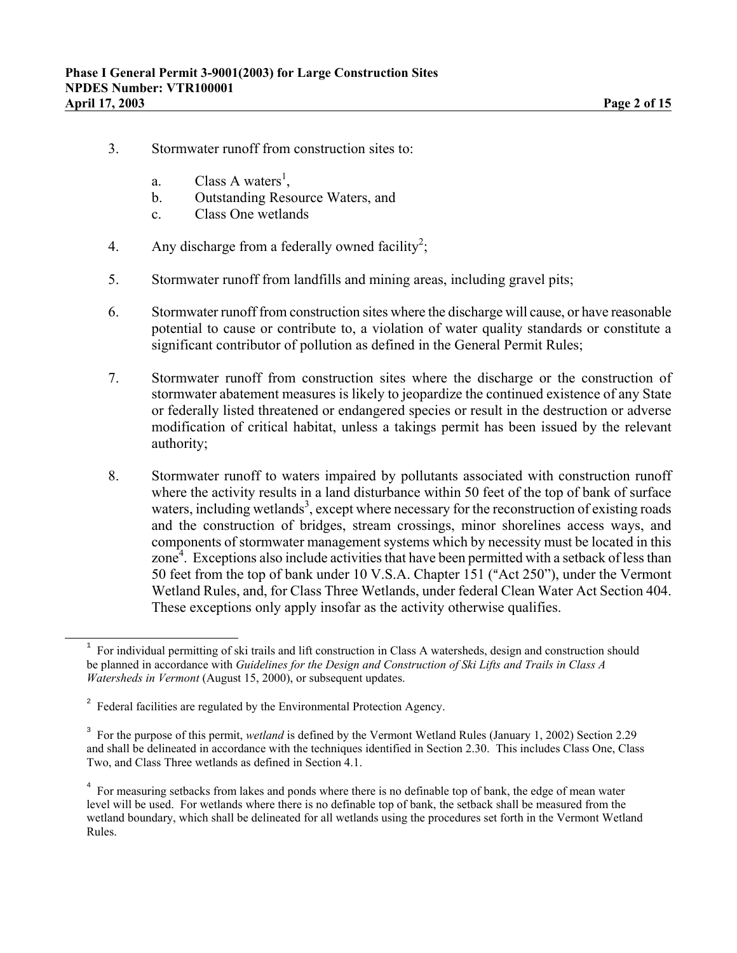- 3. Stormwater runoff from construction sites to:
	- a. Class A waters<sup>[1](#page-1-0)</sup>,
	- b. Outstanding Resource Waters, and
	- c. Class One wetlands
- 4. Any discharge from a federally owned facility<sup>[2](#page-1-1)</sup>;
- 5. Stormwater runoff from landfills and mining areas, including gravel pits;
- 6. Stormwater runoff from construction sites where the discharge will cause, or have reasonable potential to cause or contribute to, a violation of water quality standards or constitute a significant contributor of pollution as defined in the General Permit Rules;
- 7. Stormwater runoff from construction sites where the discharge or the construction of stormwater abatement measures is likely to jeopardize the continued existence of any State or federally listed threatened or endangered species or result in the destruction or adverse modification of critical habitat, unless a takings permit has been issued by the relevant authority;
- 8. Stormwater runoff to waters impaired by pollutants associated with construction runoff where the activity results in a land disturbance within 50 feet of the top of bank of surface waters, including wetlands<sup>[3](#page-1-2)</sup>, except where necessary for the reconstruction of existing roads and the construction of bridges, stream crossings, minor shorelines access ways, and components of stormwater management systems which by necessity must be located in this zone $4$ . Exceptions also include activities that have been permitted with a setback of less than 50 feet from the top of bank under 10 V.S.A. Chapter 151 ("Act 250"), under the Vermont Wetland Rules, and, for Class Three Wetlands, under federal Clean Water Act Section 404. These exceptions only apply insofar as the activity otherwise qualifies.

ı

<span id="page-1-0"></span> $1$  For individual permitting of ski trails and lift construction in Class A watersheds, design and construction should be planned in accordance with *Guidelines for the Design and Construction of Ski Lifts and Trails in Class A Watersheds in Vermont* (August 15, 2000), or subsequent updates.

<span id="page-1-1"></span> $2^2$  Federal facilities are regulated by the Environmental Protection Agency.

<span id="page-1-2"></span><sup>&</sup>lt;sup>3</sup> For the purpose of this permit, *wetland* is defined by the Vermont Wetland Rules (January 1, 2002) Section 2.29 and shall be delineated in accordance with the techniques identified in Section 2.30. This includes Class One, Class Two, and Class Three wetlands as defined in Section 4.1.

<span id="page-1-3"></span><sup>&</sup>lt;sup>4</sup> For measuring setbacks from lakes and ponds where there is no definable top of bank, the edge of mean water level will be used. For wetlands where there is no definable top of bank, the setback shall be measured from the wetland boundary, which shall be delineated for all wetlands using the procedures set forth in the Vermont Wetland Rules.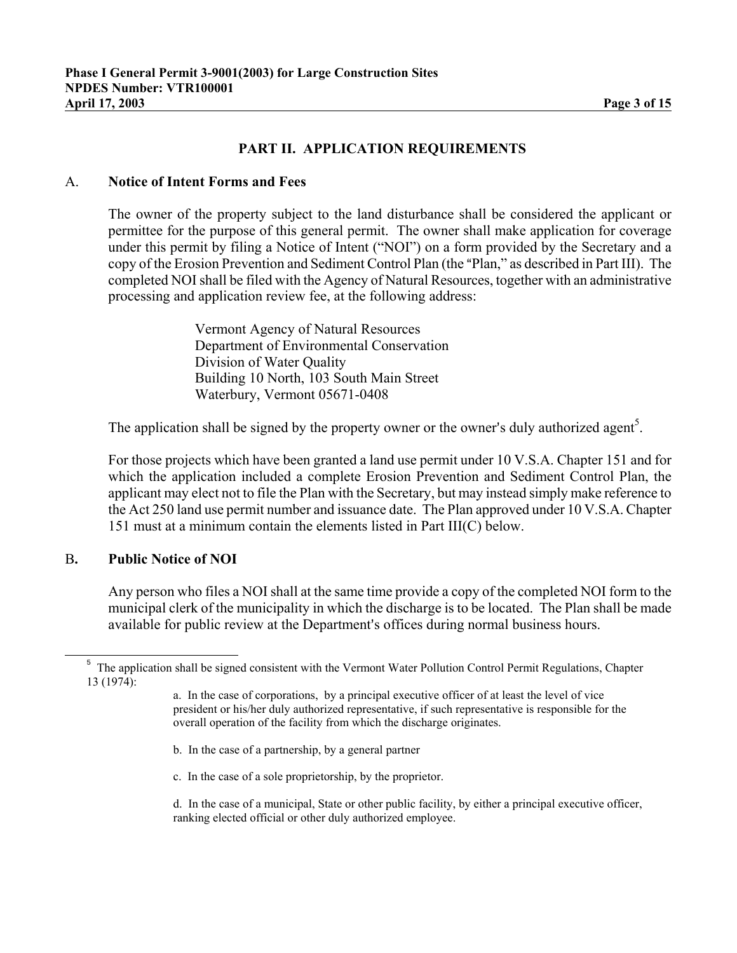# **PART II. APPLICATION REQUIREMENTS**

# A. **Notice of Intent Forms and Fees**

The owner of the property subject to the land disturbance shall be considered the applicant or permittee for the purpose of this general permit. The owner shall make application for coverage under this permit by filing a Notice of Intent ("NOI") on a form provided by the Secretary and a copy of the Erosion Prevention and Sediment Control Plan (the "Plan," as described in Part III). The completed NOI shall be filed with the Agency of Natural Resources, together with an administrative processing and application review fee, at the following address:

> Vermont Agency of Natural Resources Department of Environmental Conservation Division of Water Quality Building 10 North, 103 South Main Street Waterbury, Vermont 05671-0408

The application shall be signed by the property owner or the owner's duly authorized agent<sup>[5](#page-2-0)</sup>.

For those projects which have been granted a land use permit under 10 V.S.A. Chapter 151 and for which the application included a complete Erosion Prevention and Sediment Control Plan, the applicant may elect not to file the Plan with the Secretary, but may instead simply make reference to the Act 250 land use permit number and issuance date. The Plan approved under 10 V.S.A. Chapter 151 must at a minimum contain the elements listed in Part III(C) below.

### B**. Public Notice of NOI**

Any person who files a NOI shall at the same time provide a copy of the completed NOI form to the municipal clerk of the municipality in which the discharge is to be located. The Plan shall be made available for public review at the Department's offices during normal business hours.

- b. In the case of a partnership, by a general partner
- c. In the case of a sole proprietorship, by the proprietor.

<span id="page-2-0"></span> <sup>5</sup> The application shall be signed consistent with the Vermont Water Pollution Control Permit Regulations, Chapter 13 (1974):

a. In the case of corporations, by a principal executive officer of at least the level of vice president or his/her duly authorized representative, if such representative is responsible for the overall operation of the facility from which the discharge originates.

d. In the case of a municipal, State or other public facility, by either a principal executive officer, ranking elected official or other duly authorized employee.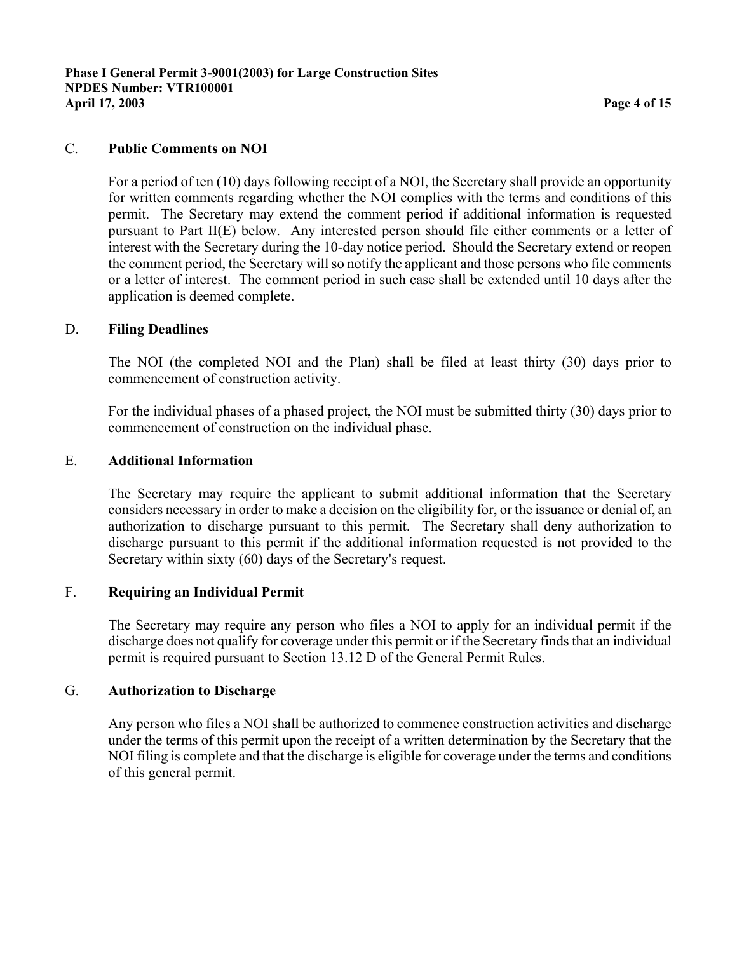# C. **Public Comments on NOI**

For a period of ten (10) days following receipt of a NOI, the Secretary shall provide an opportunity for written comments regarding whether the NOI complies with the terms and conditions of this permit. The Secretary may extend the comment period if additional information is requested pursuant to Part II(E) below. Any interested person should file either comments or a letter of interest with the Secretary during the 10-day notice period. Should the Secretary extend or reopen the comment period, the Secretary will so notify the applicant and those persons who file comments or a letter of interest. The comment period in such case shall be extended until 10 days after the application is deemed complete.

### D. **Filing Deadlines**

The NOI (the completed NOI and the Plan) shall be filed at least thirty (30) days prior to commencement of construction activity.

For the individual phases of a phased project, the NOI must be submitted thirty (30) days prior to commencement of construction on the individual phase.

### E. **Additional Information**

The Secretary may require the applicant to submit additional information that the Secretary considers necessary in order to make a decision on the eligibility for, or the issuance or denial of, an authorization to discharge pursuant to this permit. The Secretary shall deny authorization to discharge pursuant to this permit if the additional information requested is not provided to the Secretary within sixty (60) days of the Secretary's request.

# F. **Requiring an Individual Permit**

The Secretary may require any person who files a NOI to apply for an individual permit if the discharge does not qualify for coverage under this permit or if the Secretary finds that an individual permit is required pursuant to Section 13.12 D of the General Permit Rules.

#### G. **Authorization to Discharge**

Any person who files a NOI shall be authorized to commence construction activities and discharge under the terms of this permit upon the receipt of a written determination by the Secretary that the NOI filing is complete and that the discharge is eligible for coverage under the terms and conditions of this general permit.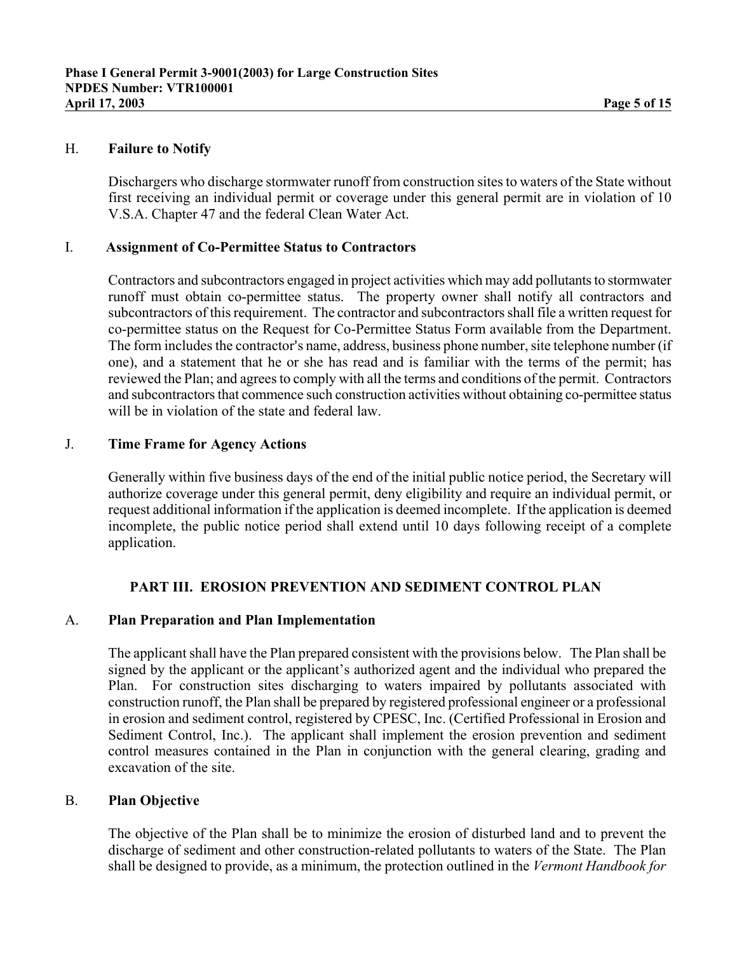### H. **Failure to Notify**

Dischargers who discharge stormwater runoff from construction sites to waters of the State without first receiving an individual permit or coverage under this general permit are in violation of 10 V.S.A. Chapter 47 and the federal Clean Water Act.

### I. **Assignment of Co-Permittee Status to Contractors**

Contractors and subcontractors engaged in project activities which may add pollutants to stormwater runoff must obtain co-permittee status. The property owner shall notify all contractors and subcontractors of this requirement. The contractor and subcontractors shall file a written request for co-permittee status on the Request for Co-Permittee Status Form available from the Department. The form includes the contractor's name, address, business phone number, site telephone number (if one), and a statement that he or she has read and is familiar with the terms of the permit; has reviewed the Plan; and agrees to comply with all the terms and conditions of the permit. Contractors and subcontractors that commence such construction activities without obtaining co-permittee status will be in violation of the state and federal law.

### J. **Time Frame for Agency Actions**

Generally within five business days of the end of the initial public notice period, the Secretary will authorize coverage under this general permit, deny eligibility and require an individual permit, or request additional information if the application is deemed incomplete. If the application is deemed incomplete, the public notice period shall extend until 10 days following receipt of a complete application.

### **PART III. EROSION PREVENTION AND SEDIMENT CONTROL PLAN**

### A. **Plan Preparation and Plan Implementation**

The applicant shall have the Plan prepared consistent with the provisions below. The Plan shall be signed by the applicant or the applicant's authorized agent and the individual who prepared the Plan. For construction sites discharging to waters impaired by pollutants associated with construction runoff, the Plan shall be prepared by registered professional engineer or a professional in erosion and sediment control, registered by CPESC, Inc. (Certified Professional in Erosion and Sediment Control, Inc.). The applicant shall implement the erosion prevention and sediment control measures contained in the Plan in conjunction with the general clearing, grading and excavation of the site.

### B. **Plan Objective**

The objective of the Plan shall be to minimize the erosion of disturbed land and to prevent the discharge of sediment and other construction-related pollutants to waters of the State. The Plan shall be designed to provide, as a minimum, the protection outlined in the *Vermont Handbook for*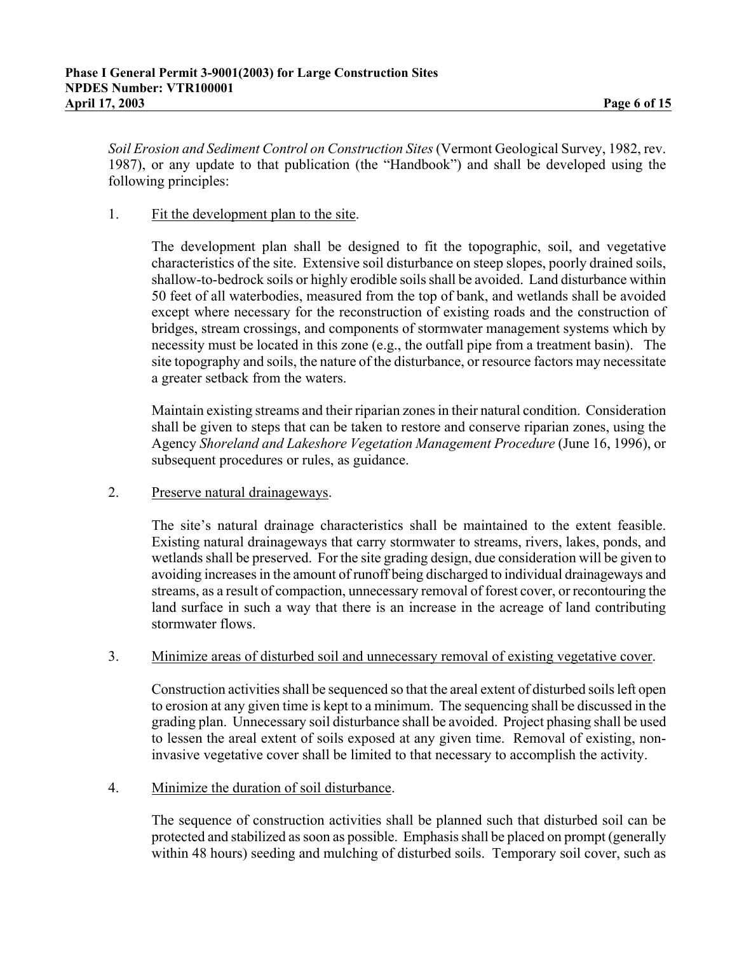*Soil Erosion and Sediment Control on Construction Sites* (Vermont Geological Survey, 1982, rev. 1987), or any update to that publication (the "Handbook") and shall be developed using the following principles:

# 1. Fit the development plan to the site.

The development plan shall be designed to fit the topographic, soil, and vegetative characteristics of the site. Extensive soil disturbance on steep slopes, poorly drained soils, shallow-to-bedrock soils or highly erodible soils shall be avoided. Land disturbance within 50 feet of all waterbodies, measured from the top of bank, and wetlands shall be avoided except where necessary for the reconstruction of existing roads and the construction of bridges, stream crossings, and components of stormwater management systems which by necessity must be located in this zone (e.g., the outfall pipe from a treatment basin). The site topography and soils, the nature of the disturbance, or resource factors may necessitate a greater setback from the waters.

Maintain existing streams and their riparian zones in their natural condition. Consideration shall be given to steps that can be taken to restore and conserve riparian zones, using the Agency *Shoreland and Lakeshore Vegetation Management Procedure* (June 16, 1996), or subsequent procedures or rules, as guidance.

# 2. Preserve natural drainageways.

The site's natural drainage characteristics shall be maintained to the extent feasible. Existing natural drainageways that carry stormwater to streams, rivers, lakes, ponds, and wetlands shall be preserved. For the site grading design, due consideration will be given to avoiding increases in the amount of runoff being discharged to individual drainageways and streams, as a result of compaction, unnecessary removal of forest cover, or recontouring the land surface in such a way that there is an increase in the acreage of land contributing stormwater flows.

### 3. Minimize areas of disturbed soil and unnecessary removal of existing vegetative cover.

Construction activities shall be sequenced so that the areal extent of disturbed soils left open to erosion at any given time is kept to a minimum. The sequencing shall be discussed in the grading plan. Unnecessary soil disturbance shall be avoided. Project phasing shall be used to lessen the areal extent of soils exposed at any given time. Removal of existing, noninvasive vegetative cover shall be limited to that necessary to accomplish the activity.

### 4. Minimize the duration of soil disturbance.

The sequence of construction activities shall be planned such that disturbed soil can be protected and stabilized as soon as possible. Emphasis shall be placed on prompt (generally within 48 hours) seeding and mulching of disturbed soils. Temporary soil cover, such as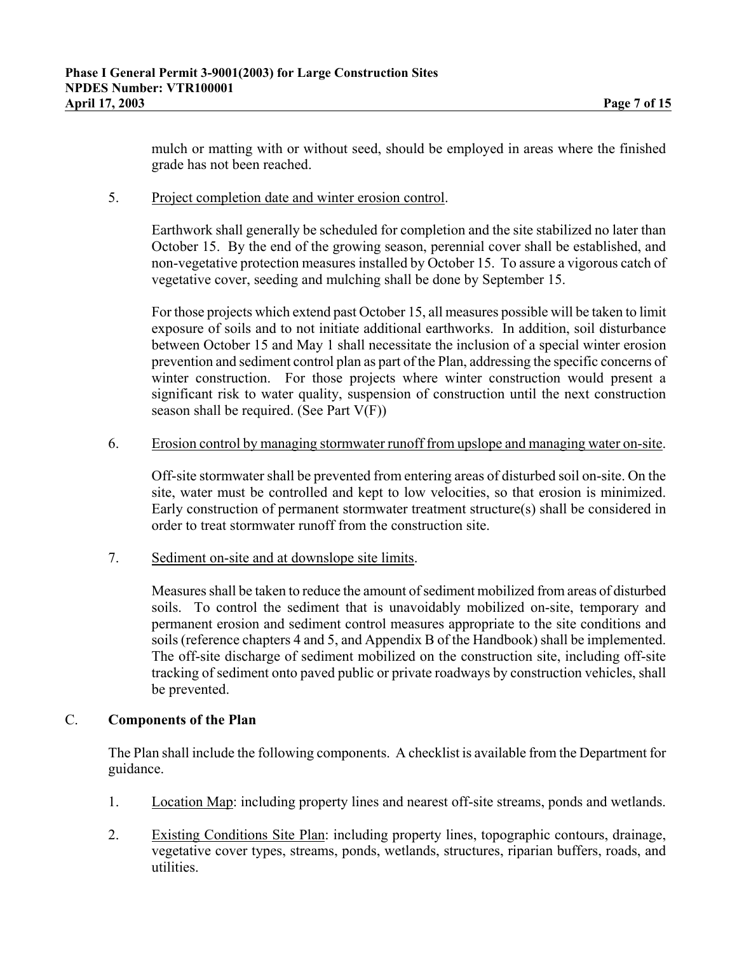mulch or matting with or without seed, should be employed in areas where the finished grade has not been reached.

# 5. Project completion date and winter erosion control.

Earthwork shall generally be scheduled for completion and the site stabilized no later than October 15. By the end of the growing season, perennial cover shall be established, and non-vegetative protection measures installed by October 15. To assure a vigorous catch of vegetative cover, seeding and mulching shall be done by September 15.

For those projects which extend past October 15, all measures possible will be taken to limit exposure of soils and to not initiate additional earthworks. In addition, soil disturbance between October 15 and May 1 shall necessitate the inclusion of a special winter erosion prevention and sediment control plan as part of the Plan, addressing the specific concerns of winter construction. For those projects where winter construction would present a significant risk to water quality, suspension of construction until the next construction season shall be required. (See Part  $V(F)$ )

### 6. Erosion control by managing stormwater runoff from upslope and managing water on-site.

Off-site stormwater shall be prevented from entering areas of disturbed soil on-site. On the site, water must be controlled and kept to low velocities, so that erosion is minimized. Early construction of permanent stormwater treatment structure(s) shall be considered in order to treat stormwater runoff from the construction site.

7. Sediment on-site and at downslope site limits.

Measures shall be taken to reduce the amount of sediment mobilized from areas of disturbed soils. To control the sediment that is unavoidably mobilized on-site, temporary and permanent erosion and sediment control measures appropriate to the site conditions and soils (reference chapters 4 and 5, and Appendix B of the Handbook) shall be implemented. The off-site discharge of sediment mobilized on the construction site, including off-site tracking of sediment onto paved public or private roadways by construction vehicles, shall be prevented.

### C. **Components of the Plan**

The Plan shall include the following components. A checklist is available from the Department for guidance.

- 1. Location Map: including property lines and nearest off-site streams, ponds and wetlands.
- 2. Existing Conditions Site Plan: including property lines, topographic contours, drainage, vegetative cover types, streams, ponds, wetlands, structures, riparian buffers, roads, and utilities.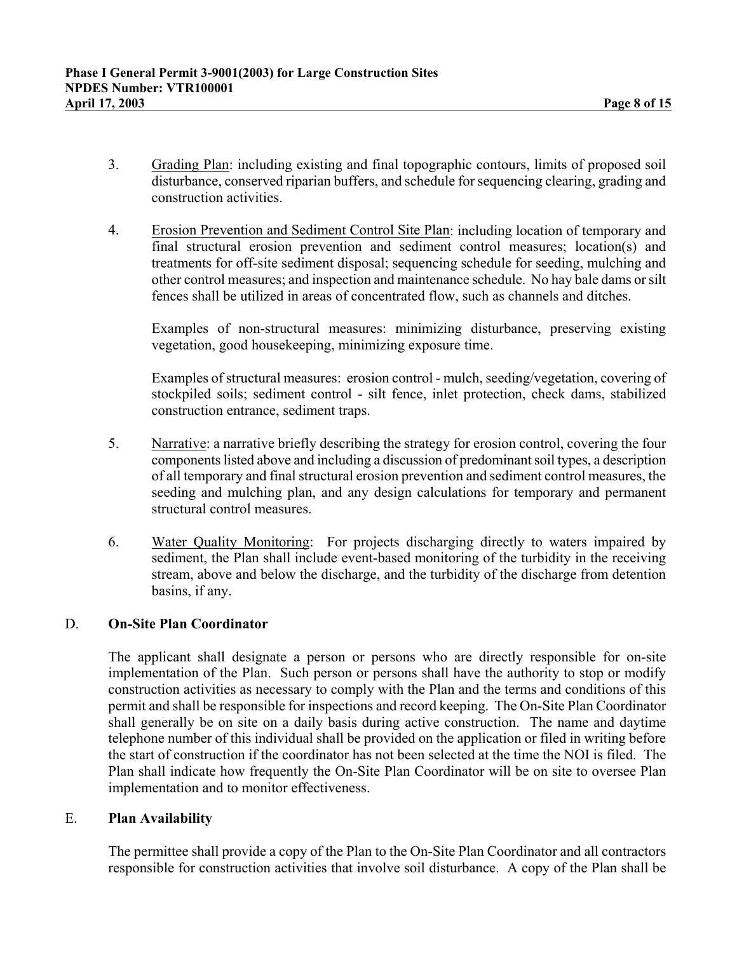- 3. Grading Plan: including existing and final topographic contours, limits of proposed soil disturbance, conserved riparian buffers, and schedule for sequencing clearing, grading and construction activities.
- 4. Erosion Prevention and Sediment Control Site Plan: including location of temporary and final structural erosion prevention and sediment control measures; location(s) and treatments for off-site sediment disposal; sequencing schedule for seeding, mulching and other control measures; and inspection and maintenance schedule. No hay bale dams or silt fences shall be utilized in areas of concentrated flow, such as channels and ditches.

Examples of non-structural measures: minimizing disturbance, preserving existing vegetation, good housekeeping, minimizing exposure time.

Examples of structural measures: erosion control - mulch, seeding/vegetation, covering of stockpiled soils; sediment control - silt fence, inlet protection, check dams, stabilized construction entrance, sediment traps.

- 5. Narrative: a narrative briefly describing the strategy for erosion control, covering the four components listed above and including a discussion of predominant soil types, a description of all temporary and final structural erosion prevention and sediment control measures, the seeding and mulching plan, and any design calculations for temporary and permanent structural control measures.
- 6. Water Quality Monitoring: For projects discharging directly to waters impaired by sediment, the Plan shall include event-based monitoring of the turbidity in the receiving stream, above and below the discharge, and the turbidity of the discharge from detention basins, if any.

# D. **On-Site Plan Coordinator**

The applicant shall designate a person or persons who are directly responsible for on-site implementation of the Plan. Such person or persons shall have the authority to stop or modify construction activities as necessary to comply with the Plan and the terms and conditions of this permit and shall be responsible for inspections and record keeping. The On-Site Plan Coordinator shall generally be on site on a daily basis during active construction. The name and daytime telephone number of this individual shall be provided on the application or filed in writing before the start of construction if the coordinator has not been selected at the time the NOI is filed. The Plan shall indicate how frequently the On-Site Plan Coordinator will be on site to oversee Plan implementation and to monitor effectiveness.

### E. **Plan Availability**

The permittee shall provide a copy of the Plan to the On-Site Plan Coordinator and all contractors responsible for construction activities that involve soil disturbance. A copy of the Plan shall be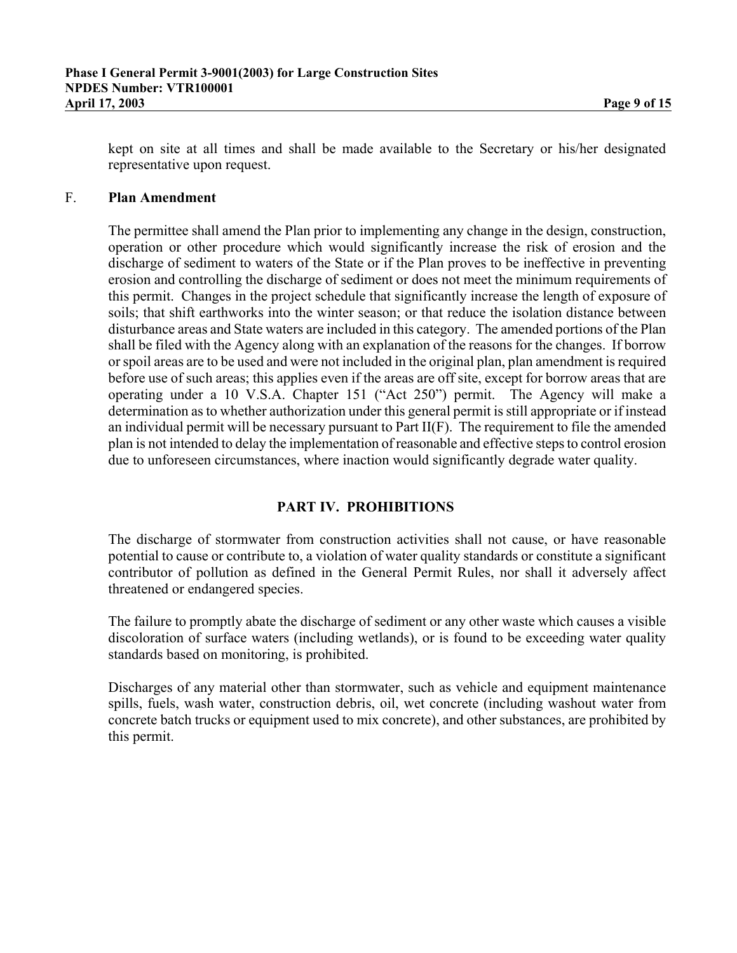kept on site at all times and shall be made available to the Secretary or his/her designated representative upon request.

### F. **Plan Amendment**

The permittee shall amend the Plan prior to implementing any change in the design, construction, operation or other procedure which would significantly increase the risk of erosion and the discharge of sediment to waters of the State or if the Plan proves to be ineffective in preventing erosion and controlling the discharge of sediment or does not meet the minimum requirements of this permit. Changes in the project schedule that significantly increase the length of exposure of soils; that shift earthworks into the winter season; or that reduce the isolation distance between disturbance areas and State waters are included in this category. The amended portions of the Plan shall be filed with the Agency along with an explanation of the reasons for the changes. If borrow or spoil areas are to be used and were not included in the original plan, plan amendment is required before use of such areas; this applies even if the areas are off site, except for borrow areas that are operating under a 10 V.S.A. Chapter 151 ("Act 250") permit. The Agency will make a determination as to whether authorization under this general permit is still appropriate or if instead an individual permit will be necessary pursuant to Part II(F). The requirement to file the amended plan is not intended to delay the implementation of reasonable and effective steps to control erosion due to unforeseen circumstances, where inaction would significantly degrade water quality.

# **PART IV. PROHIBITIONS**

The discharge of stormwater from construction activities shall not cause, or have reasonable potential to cause or contribute to, a violation of water quality standards or constitute a significant contributor of pollution as defined in the General Permit Rules, nor shall it adversely affect threatened or endangered species.

The failure to promptly abate the discharge of sediment or any other waste which causes a visible discoloration of surface waters (including wetlands), or is found to be exceeding water quality standards based on monitoring, is prohibited.

Discharges of any material other than stormwater, such as vehicle and equipment maintenance spills, fuels, wash water, construction debris, oil, wet concrete (including washout water from concrete batch trucks or equipment used to mix concrete), and other substances, are prohibited by this permit.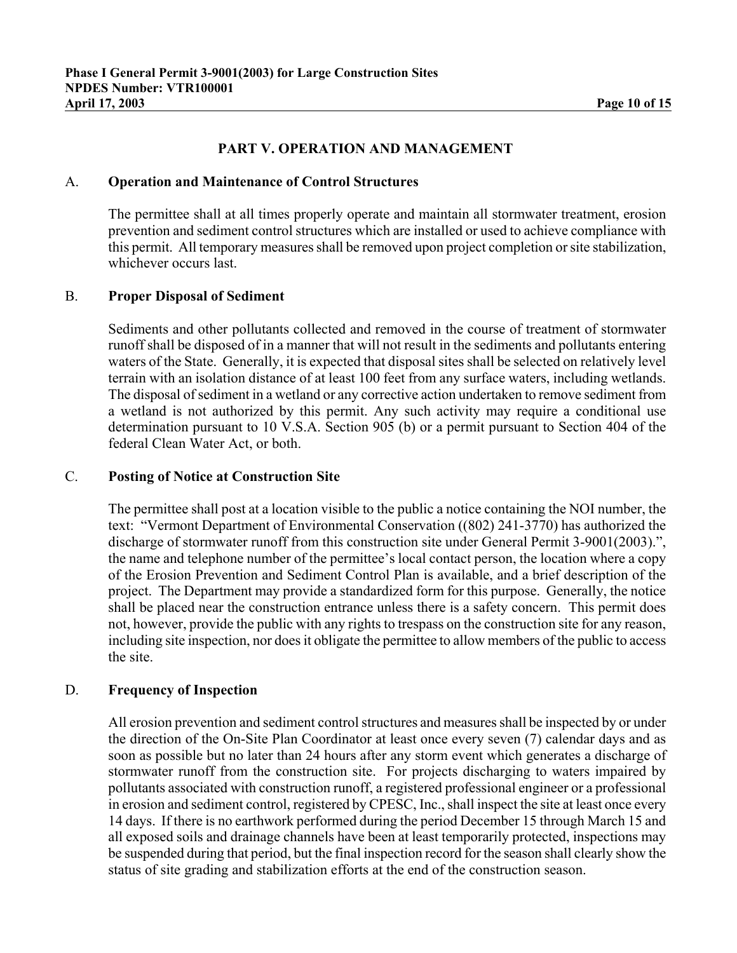# **PART V. OPERATION AND MANAGEMENT**

### A. **Operation and Maintenance of Control Structures**

The permittee shall at all times properly operate and maintain all stormwater treatment, erosion prevention and sediment control structures which are installed or used to achieve compliance with this permit. All temporary measures shall be removed upon project completion or site stabilization, whichever occurs last.

### B. **Proper Disposal of Sediment**

Sediments and other pollutants collected and removed in the course of treatment of stormwater runoff shall be disposed of in a manner that will not result in the sediments and pollutants entering waters of the State. Generally, it is expected that disposal sites shall be selected on relatively level terrain with an isolation distance of at least 100 feet from any surface waters, including wetlands. The disposal of sediment in a wetland or any corrective action undertaken to remove sediment from a wetland is not authorized by this permit. Any such activity may require a conditional use determination pursuant to 10 V.S.A. Section 905 (b) or a permit pursuant to Section 404 of the federal Clean Water Act, or both.

### C. **Posting of Notice at Construction Site**

The permittee shall post at a location visible to the public a notice containing the NOI number, the text: "Vermont Department of Environmental Conservation ((802) 241-3770) has authorized the discharge of stormwater runoff from this construction site under General Permit 3-9001(2003).", the name and telephone number of the permittee's local contact person, the location where a copy of the Erosion Prevention and Sediment Control Plan is available, and a brief description of the project. The Department may provide a standardized form for this purpose. Generally, the notice shall be placed near the construction entrance unless there is a safety concern. This permit does not, however, provide the public with any rights to trespass on the construction site for any reason, including site inspection, nor does it obligate the permittee to allow members of the public to access the site.

### D. **Frequency of Inspection**

All erosion prevention and sediment control structures and measures shall be inspected by or under the direction of the On-Site Plan Coordinator at least once every seven (7) calendar days and as soon as possible but no later than 24 hours after any storm event which generates a discharge of stormwater runoff from the construction site. For projects discharging to waters impaired by pollutants associated with construction runoff, a registered professional engineer or a professional in erosion and sediment control, registered by CPESC, Inc., shall inspect the site at least once every 14 days. If there is no earthwork performed during the period December 15 through March 15 and all exposed soils and drainage channels have been at least temporarily protected, inspections may be suspended during that period, but the final inspection record for the season shall clearly show the status of site grading and stabilization efforts at the end of the construction season.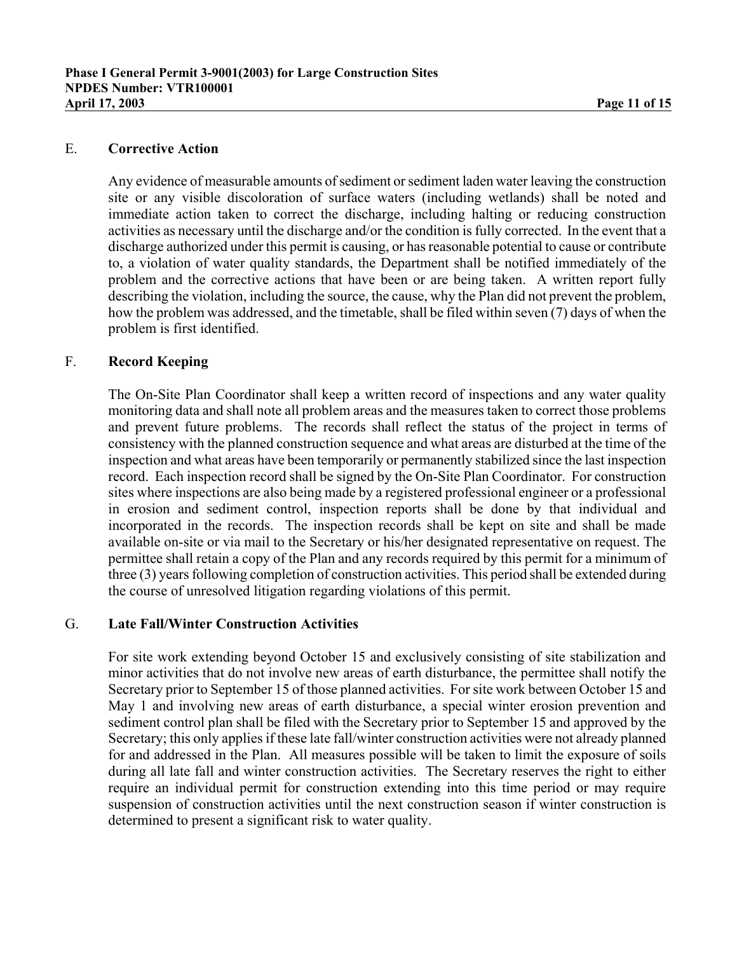# E. **Corrective Action**

Any evidence of measurable amounts of sediment or sediment laden water leaving the construction site or any visible discoloration of surface waters (including wetlands) shall be noted and immediate action taken to correct the discharge, including halting or reducing construction activities as necessary until the discharge and/or the condition is fully corrected. In the event that a discharge authorized under this permit is causing, or has reasonable potential to cause or contribute to, a violation of water quality standards, the Department shall be notified immediately of the problem and the corrective actions that have been or are being taken. A written report fully describing the violation, including the source, the cause, why the Plan did not prevent the problem, how the problem was addressed, and the timetable, shall be filed within seven (7) days of when the problem is first identified.

# F. **Record Keeping**

The On-Site Plan Coordinator shall keep a written record of inspections and any water quality monitoring data and shall note all problem areas and the measures taken to correct those problems and prevent future problems. The records shall reflect the status of the project in terms of consistency with the planned construction sequence and what areas are disturbed at the time of the inspection and what areas have been temporarily or permanently stabilized since the last inspection record. Each inspection record shall be signed by the On-Site Plan Coordinator. For construction sites where inspections are also being made by a registered professional engineer or a professional in erosion and sediment control, inspection reports shall be done by that individual and incorporated in the records. The inspection records shall be kept on site and shall be made available on-site or via mail to the Secretary or his/her designated representative on request. The permittee shall retain a copy of the Plan and any records required by this permit for a minimum of three (3) years following completion of construction activities. This period shall be extended during the course of unresolved litigation regarding violations of this permit.

# G. **Late Fall/Winter Construction Activities**

For site work extending beyond October 15 and exclusively consisting of site stabilization and minor activities that do not involve new areas of earth disturbance, the permittee shall notify the Secretary prior to September 15 of those planned activities. For site work between October 15 and May 1 and involving new areas of earth disturbance, a special winter erosion prevention and sediment control plan shall be filed with the Secretary prior to September 15 and approved by the Secretary; this only applies if these late fall/winter construction activities were not already planned for and addressed in the Plan. All measures possible will be taken to limit the exposure of soils during all late fall and winter construction activities. The Secretary reserves the right to either require an individual permit for construction extending into this time period or may require suspension of construction activities until the next construction season if winter construction is determined to present a significant risk to water quality.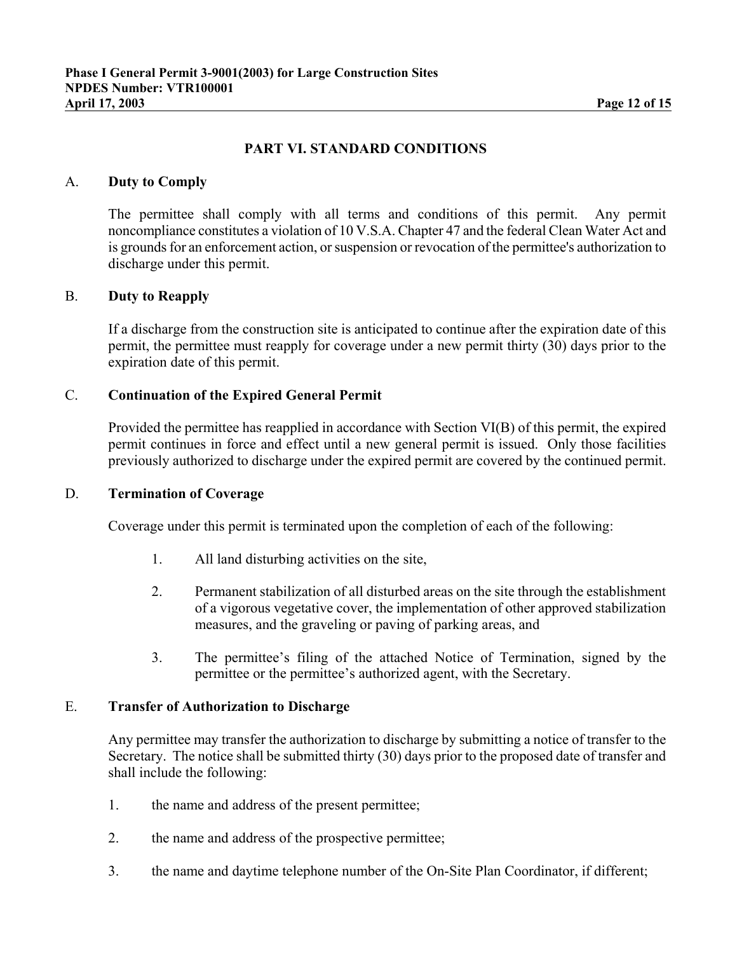# **PART VI. STANDARD CONDITIONS**

### A. **Duty to Comply**

The permittee shall comply with all terms and conditions of this permit. Any permit noncompliance constitutes a violation of 10 V.S.A. Chapter 47 and the federal Clean Water Act and is grounds for an enforcement action, or suspension or revocation of the permittee's authorization to discharge under this permit.

### B. **Duty to Reapply**

If a discharge from the construction site is anticipated to continue after the expiration date of this permit, the permittee must reapply for coverage under a new permit thirty (30) days prior to the expiration date of this permit.

### C. **Continuation of the Expired General Permit**

Provided the permittee has reapplied in accordance with Section VI(B) of this permit, the expired permit continues in force and effect until a new general permit is issued. Only those facilities previously authorized to discharge under the expired permit are covered by the continued permit.

#### D. **Termination of Coverage**

Coverage under this permit is terminated upon the completion of each of the following:

- 1. All land disturbing activities on the site,
- 2. Permanent stabilization of all disturbed areas on the site through the establishment of a vigorous vegetative cover, the implementation of other approved stabilization measures, and the graveling or paving of parking areas, and
- 3. The permittee's filing of the attached Notice of Termination, signed by the permittee or the permittee's authorized agent, with the Secretary.

### E. **Transfer of Authorization to Discharge**

Any permittee may transfer the authorization to discharge by submitting a notice of transfer to the Secretary. The notice shall be submitted thirty (30) days prior to the proposed date of transfer and shall include the following:

- 1. the name and address of the present permittee;
- 2. the name and address of the prospective permittee;
- 3. the name and daytime telephone number of the On-Site Plan Coordinator, if different;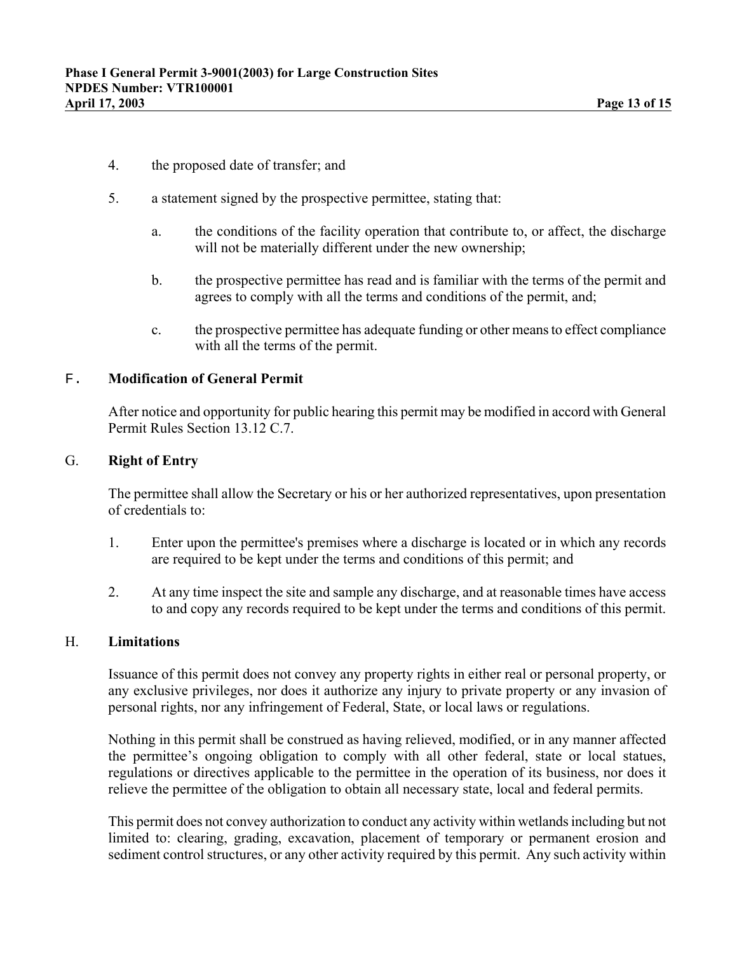- 4. the proposed date of transfer; and
- 5. a statement signed by the prospective permittee, stating that:
	- a. the conditions of the facility operation that contribute to, or affect, the discharge will not be materially different under the new ownership;
	- b. the prospective permittee has read and is familiar with the terms of the permit and agrees to comply with all the terms and conditions of the permit, and;
	- c. the prospective permittee has adequate funding or other means to effect compliance with all the terms of the permit.

### F. **Modification of General Permit**

After notice and opportunity for public hearing this permit may be modified in accord with General Permit Rules Section 13.12 C.7.

### G. **Right of Entry**

The permittee shall allow the Secretary or his or her authorized representatives, upon presentation of credentials to:

- 1. Enter upon the permittee's premises where a discharge is located or in which any records are required to be kept under the terms and conditions of this permit; and
- 2. At any time inspect the site and sample any discharge, and at reasonable times have access to and copy any records required to be kept under the terms and conditions of this permit.

# H. **Limitations**

Issuance of this permit does not convey any property rights in either real or personal property, or any exclusive privileges, nor does it authorize any injury to private property or any invasion of personal rights, nor any infringement of Federal, State, or local laws or regulations.

Nothing in this permit shall be construed as having relieved, modified, or in any manner affected the permittee's ongoing obligation to comply with all other federal, state or local statues, regulations or directives applicable to the permittee in the operation of its business, nor does it relieve the permittee of the obligation to obtain all necessary state, local and federal permits.

This permit does not convey authorization to conduct any activity within wetlands including but not limited to: clearing, grading, excavation, placement of temporary or permanent erosion and sediment control structures, or any other activity required by this permit. Any such activity within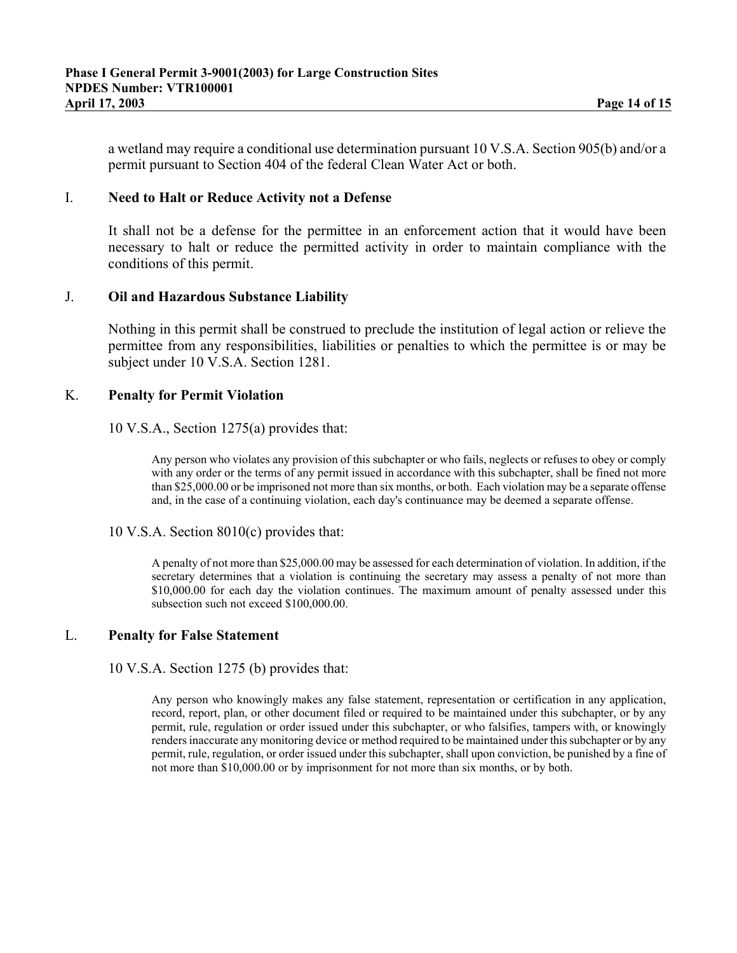a wetland may require a conditional use determination pursuant 10 V.S.A. Section 905(b) and/or a permit pursuant to Section 404 of the federal Clean Water Act or both.

#### I. **Need to Halt or Reduce Activity not a Defense**

It shall not be a defense for the permittee in an enforcement action that it would have been necessary to halt or reduce the permitted activity in order to maintain compliance with the conditions of this permit.

### J. **Oil and Hazardous Substance Liability**

Nothing in this permit shall be construed to preclude the institution of legal action or relieve the permittee from any responsibilities, liabilities or penalties to which the permittee is or may be subject under 10 V.S.A. Section 1281.

### K. **Penalty for Permit Violation**

### 10 V.S.A., Section 1275(a) provides that:

Any person who violates any provision of this subchapter or who fails, neglects or refuses to obey or comply with any order or the terms of any permit issued in accordance with this subchapter, shall be fined not more than \$25,000.00 or be imprisoned not more than six months, or both. Each violation may be a separate offense and, in the case of a continuing violation, each day's continuance may be deemed a separate offense.

#### 10 V.S.A. Section 8010(c) provides that:

A penalty of not more than \$25,000.00 may be assessed for each determination of violation. In addition, if the secretary determines that a violation is continuing the secretary may assess a penalty of not more than \$10,000.00 for each day the violation continues. The maximum amount of penalty assessed under this subsection such not exceed \$100,000.00.

### L. **Penalty for False Statement**

#### 10 V.S.A. Section 1275 (b) provides that:

Any person who knowingly makes any false statement, representation or certification in any application, record, report, plan, or other document filed or required to be maintained under this subchapter, or by any permit, rule, regulation or order issued under this subchapter, or who falsifies, tampers with, or knowingly renders inaccurate any monitoring device or method required to be maintained under this subchapter or by any permit, rule, regulation, or order issued under this subchapter, shall upon conviction, be punished by a fine of not more than \$10,000.00 or by imprisonment for not more than six months, or by both.